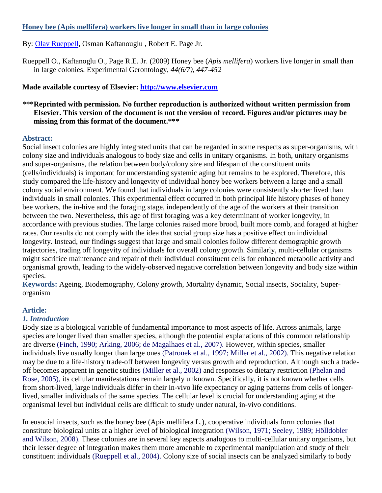#### **Honey bee (Apis mellifera) workers live longer in small than in large colonies**

By: [Olav Rueppell,](http://libres.uncg.edu/ir/uncg/clist.aspx?id=176) Osman Kaftanouglu , Robert E. Page Jr.

Rueppell O., Kaftanoglu O., Page R.E. Jr. (2009) Honey bee (*Apis mellifera*) workers live longer in small than in large colonies. Experimental Gerontology, *44(6/7), 447-452*

# **Made available courtesy of Elsevier: [http://www.elsevier.com](http://www.elsevier.com/)**

# **\*\*\*Reprinted with permission. No further reproduction is authorized without written permission from Elsevier. This version of the document is not the version of record. Figures and/or pictures may be missing from this format of the document.\*\*\***

## **Abstract:**

Social insect colonies are highly integrated units that can be regarded in some respects as super-organisms, with colony size and individuals analogous to body size and cells in unitary organisms. In both, unitary organisms and super-organisms, the relation between body/colony size and lifespan of the constituent units (cells/individuals) is important for understanding systemic aging but remains to be explored. Therefore, this study compared the life-history and longevity of individual honey bee workers between a large and a small colony social environment. We found that individuals in large colonies were consistently shorter lived than individuals in small colonies. This experimental effect occurred in both principal life history phases of honey bee workers, the in-hive and the foraging stage, independently of the age of the workers at their transition between the two. Nevertheless, this age of first foraging was a key determinant of worker longevity, in accordance with previous studies. The large colonies raised more brood, built more comb, and foraged at higher rates. Our results do not comply with the idea that social group size has a positive effect on individual longevity. Instead, our findings suggest that large and small colonies follow different demographic growth trajectories, trading off longevity of individuals for overall colony growth. Similarly, multi-cellular organisms might sacrifice maintenance and repair of their individual constituent cells for enhanced metabolic activity and organismal growth, leading to the widely-observed negative correlation between longevity and body size within species.

**Keywords:** Ageing, Biodemography, Colony growth, Mortality dynamic, Social insects, Sociality, Superorganism

## **Article:**

## *1. Introduction*

Body size is a biological variable of fundamental importance to most aspects of life. Across animals, large species are longer lived than smaller species, although the potential explanations of this common relationship are diverse (Finch, 1990; Arking, 2006; de Magalhaes et al., 2007). However, within species, smaller individuals live usually longer than large ones (Patronek et al., 1997; Miller et al., 2002). This negative relation may be due to a life-history trade-off between longevity versus growth and reproduction. Although such a tradeoff becomes apparent in genetic studies (Miller et al., 2002) and responses to dietary restriction (Phelan and Rose, 2005), its cellular manifestations remain largely unknown. Specifically, it is not known whether cells from short-lived, large individuals differ in their in-vivo life expectancy or aging patterns from cells of longerlived, smaller individuals of the same species. The cellular level is crucial for understanding aging at the organismal level but individual cells are difficult to study under natural, in-vivo conditions.

In eusocial insects, such as the honey bee (Apis mellifera L.), cooperative individuals form colonies that constitute biological units at a higher level of biological integration (Wilson, 1971; Seeley, 1989; Hölldobler and Wilson, 2008). These colonies are in several key aspects analogous to multi-cellular unitary organisms, but their lesser degree of integration makes them more amenable to experimental manipulation and study of their constituent individuals (Rueppell et al., 2004). Colony size of social insects can be analyzed similarly to body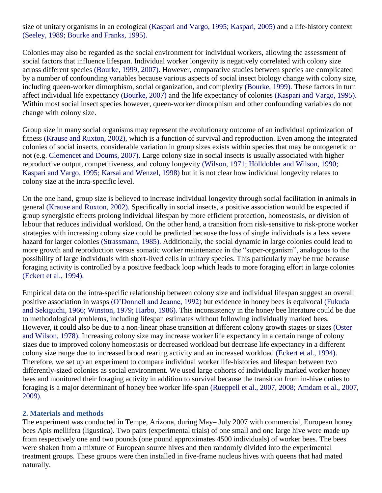size of unitary organisms in an ecological (Kaspari and Vargo, 1995; Kaspari, 2005) and a life-history context (Seeley, 1989; Bourke and Franks, 1995).

Colonies may also be regarded as the social environment for individual workers, allowing the assessment of social factors that influence lifespan. Individual worker longevity is negatively correlated with colony size across different species (Bourke, 1999, 2007). However, comparative studies between species are complicated by a number of confounding variables because various aspects of social insect biology change with colony size, including queen-worker dimorphism, social organization, and complexity (Bourke, 1999). These factors in turn affect individual life expectancy (Bourke, 2007) and the life expectancy of colonies (Kaspari and Vargo, 1995). Within most social insect species however, queen-worker dimorphism and other confounding variables do not change with colony size.

Group size in many social organisms may represent the evolutionary outcome of an individual optimization of fitness (Krause and Ruxton, 2002), which is a function of survival and reproduction. Even among the integrated colonies of social insects, considerable variation in group sizes exists within species that may be ontogenetic or not (e.g. Clemencet and Doums, 2007). Large colony size in social insects is usually associated with higher reproductive output, competitiveness, and colony longevity (Wilson, 1971; Hölldobler and Wilson, 1990; Kaspari and Vargo, 1995; Karsai and Wenzel, 1998) but it is not clear how individual longevity relates to colony size at the intra-specific level.

On the one hand, group size is believed to increase individual longevity through social facilitation in animals in general (Krause and Ruxton, 2002). Specifically in social insects, a positive association would be expected if group synergistic effects prolong individual lifespan by more efficient protection, homeostasis, or division of labour that reduces individual workload. On the other hand, a transition from risk-sensitive to risk-prone worker strategies with increasing colony size could be predicted because the loss of single individuals is a less severe hazard for larger colonies (Strassmann, 1985). Additionally, the social dynamic in large colonies could lead to more growth and reproduction versus somatic worker maintenance in the "super-organism", analogous to the possibility of large individuals with short-lived cells in unitary species. This particularly may be true because foraging activity is controlled by a positive feedback loop which leads to more foraging effort in large colonies (Eckert et al., 1994).

Empirical data on the intra-specific relationship between colony size and individual lifespan suggest an overall positive association in wasps (O'Donnell and Jeanne, 1992) but evidence in honey bees is equivocal (Fukuda and Sekiguchi, 1966; Winston, 1979; Harbo, 1986). This inconsistency in the honey bee literature could be due to methodological problems, including lifespan estimates without following individually marked bees. However, it could also be due to a non-linear phase transition at different colony growth stages or sizes (Oster and Wilson, 1978). Increasing colony size may increase worker life expectancy in a certain range of colony sizes due to improved colony homeostasis or decreased workload but decrease life expectancy in a different colony size range due to increased brood rearing activity and an increased workload (Eckert et al., 1994). Therefore, we set up an experiment to compare individual worker life-histories and lifespan between two differently-sized colonies as social environment. We used large cohorts of individually marked worker honey bees and monitored their foraging activity in addition to survival because the transition from in-hive duties to foraging is a major determinant of honey bee worker life-span (Rueppell et al., 2007, 2008; Amdam et al., 2007, 2009).

#### **2. Materials and methods**

The experiment was conducted in Tempe, Arizona, during May– July 2007 with commercial, European honey bees Apis mellifera (ligustica). Two pairs (experimental trials) of one small and one large hive were made up from respectively one and two pounds (one pound approximates 4500 individuals) of worker bees. The bees were shaken from a mixture of European source hives and then randomly divided into the experimental treatment groups. These groups were then installed in five-frame nucleus hives with queens that had mated naturally.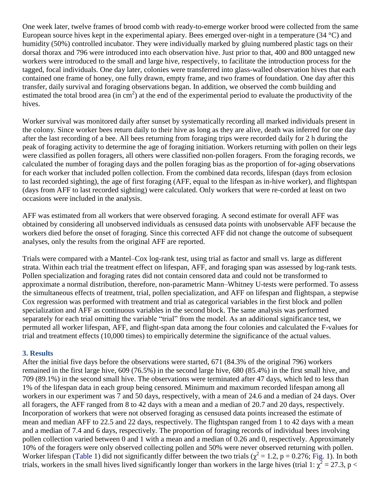One week later, twelve frames of brood comb with ready-to-emerge worker brood were collected from the same European source hives kept in the experimental apiary. Bees emerged over-night in a temperature (34 °C) and humidity (50%) controlled incubator. They were individually marked by gluing numbered plastic tags on their dorsal thorax and 796 were introduced into each observation hive. Just prior to that, 400 and 800 untagged new workers were introduced to the small and large hive, respectively, to facilitate the introduction process for the tagged, focal individuals. One day later, colonies were transferred into glass-walled observation hives that each contained one frame of honey, one fully drawn, empty frame, and two frames of foundation. One day after this transfer, daily survival and foraging observations began. In addition, we observed the comb building and estimated the total brood area (in  $cm<sup>2</sup>$ ) at the end of the experimental period to evaluate the productivity of the hives.

Worker survival was monitored daily after sunset by systematically recording all marked individuals present in the colony. Since worker bees return daily to their hive as long as they are alive, death was inferred for one day after the last recording of a bee. All bees returning from foraging trips were recorded daily for 2 h during the peak of foraging activity to determine the age of foraging initiation. Workers returning with pollen on their legs were classified as pollen foragers, all others were classified non-pollen foragers. From the foraging records, we calculated the number of foraging days and the pollen foraging bias as the proportion of for-aging observations for each worker that included pollen collection. From the combined data records, lifespan (days from eclosion to last recorded sighting), the age of first foraging (AFF, equal to the lifespan as in-hive worker), and flightspan (days from AFF to last recorded sighting) were calculated. Only workers that were re-corded at least on two occasions were included in the analysis.

AFF was estimated from all workers that were observed foraging. A second estimate for overall AFF was obtained by considering all unobserved individuals as censused data points with unobservable AFF because the workers died before the onset of foraging. Since this corrected AFF did not change the outcome of subsequent analyses, only the results from the original AFF are reported.

Trials were compared with a Mantel–Cox log-rank test, using trial as factor and small vs. large as different strata. Within each trial the treatment effect on lifespan, AFF, and foraging span was assessed by log-rank tests. Pollen specialization and foraging rates did not contain censored data and could not be transformed to approximate a normal distribution, therefore, non-parametric Mann–Whitney U-tests were performed. To assess the simultaneous effects of treatment, trial, pollen specialization, and AFF on lifespan and flightspan, a stepwise Cox regression was performed with treatment and trial as categorical variables in the first block and pollen specialization and AFF as continuous variables in the second block. The same analysis was performed separately for each trial omitting the variable "trial" from the model. As an additional significance test, we permuted all worker lifespan, AFF, and flight-span data among the four colonies and calculated the F-values for trial and treatment effects (10,000 times) to empirically determine the significance of the actual values.

#### **3. Results**

After the initial five days before the observations were started, 671 (84.3% of the original 796) workers remained in the first large hive, 609 (76.5%) in the second large hive, 680 (85.4%) in the first small hive, and 709 (89.1%) in the second small hive. The observations were terminated after 47 days, which led to less than 1% of the lifespan data in each group being censored. Minimum and maximum recorded lifespan among all workers in our experiment was 7 and 50 days, respectively, with a mean of 24.6 and a median of 24 days. Over all foragers, the AFF ranged from 8 to 42 days with a mean and a median of 20.7 and 20 days, respectively. Incorporation of workers that were not observed foraging as censused data points increased the estimate of mean and median AFF to 22.5 and 22 days, respectively. The flightspan ranged from 1 to 42 days with a mean and a median of 7.4 and 6 days, respectively. The proportion of foraging records of individual bees involving pollen collection varied between 0 and 1 with a mean and a median of 0.26 and 0, respectively. Approximately 10% of the foragers were only observed collecting pollen and 50% were never observed returning with pollen. Worker lifespan (Table 1) did not significantly differ between the two trials ( $\chi^2 = 1.2$ , p = 0.276; Fig. 1). In both trials, workers in the small hives lived significantly longer than workers in the large hives (trial 1:  $\chi^2 = 27.3$ , p <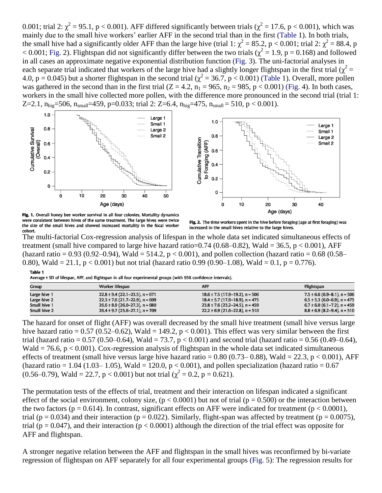0.001; trial 2:  $\chi^2$  = 95.1, p < 0.001). AFF differed significantly between trials ( $\chi^2$  = 17.6, p < 0.001), which was mainly due to the small hive workers' earlier AFF in the second trial than in the first (Table 1). In both trials, the small hive had a significantly older AFF than the large hive (trial 1:  $\chi^2 = 85.2$ , p < 0.001; trial 2:  $\chi^2 = 88.4$ , p  $<$  0.001; Fig. 2). Flightspan did not significantly differ between the two trials ( $\chi^2$  = 1.9, p = 0.168) and followed in all cases an approximate negative exponential distribution function (Fig. 3). The uni-factorial analyses in each separate trial indicated that workers of the large hive had a slightly longer flightspan in the first trial ( $\chi^2$  = 4.0,  $p = 0.045$ ) but a shorter flightspan in the second trial ( $\chi^2 = 36.7$ ,  $p < 0.001$ ) (Table 1). Overall, more pollen was gathered in the second than in the first trial  $(Z = 4.2, n_1 = 965, n_2 = 985, p < 0.001)$  (Fig. 4). In both cases, workers in the small hive collected more pollen, with the difference more pronounced in the second trial (trial 1: Z=2.1,  $n_{big}$ =506,  $n_{small}$ =459, p=0.033; trial 2: Z=6.4,  $n_{big}$ =475,  $n_{small}$ =510, p < 0.001).



Fig. 1. Overall honey bee worker survival in all four colonies. Mortality dynamics were consistent between hives of the same treatment. The large hives were twice cohort.

Fig. 2. The time workers spent in the hive before foraging (age at first foraging) was increased in the small hives relative to the large hives.

The multi-factorial Cox-regression analysis of lifespan in the whole data set indicated simultaneous effects of treatment (small hive compared to large hive hazard ratio=0.74 (0.68–0.82), Wald = 36.5, p < 0.001), AFF (hazard ratio = 0.93 (0.92–0.94), Wald = 514.2,  $p < 0.001$ ), and pollen collection (hazard ratio = 0.68 (0.58– 0.80), Wald = 21.1,  $p < 0.001$ ) but not trial (hazard ratio 0.99 (0.90–1.08), Wald = 0.1,  $p = 0.776$ ). Table 1

|  | Average ± SD of lifespan, AFF, and flightspan in all four experimental groups (with 95% confidence intervals). |
|--|----------------------------------------------------------------------------------------------------------------|

| Group        | Worker lifespan                     | <b>AFF</b>                          | Flightspan                       |
|--------------|-------------------------------------|-------------------------------------|----------------------------------|
| Large hive 1 | $22.8 \pm 9.4$ (22.1-23.5), n = 671 | $18.6 \pm 7.5$ (17.9–19.2), n = 506 | $7.5 \pm 6.6$ (6.9–8.1), n = 506 |
| Large hive 2 | $22.3 \pm 7.6$ (21.7–22.9), n = 609 | $18.4 \pm 5.7$ (17.9–18.9), n = 475 | $6.5 \pm 5.3$ (6.0–6.9), n = 475 |
| Small hive 1 | $26.6 \pm 8.9$ (26.0–27.3), n = 680 | $23.8 \pm 7.6$ (23.2-24.5), n = 459 | $6.7 \pm 6.0$ (6.1–7.2), n = 459 |
| Small hive 2 | $26.4 \pm 9.7$ (25.6-27.1), n = 709 | $22.2 \pm 6.9$ (21.6–22.8), n = 510 | $8.8 \pm 6.9$ (8.2–9.4), n = 510 |

The hazard for onset of flight (AFF) was overall decreased by the small hive treatment (small hive versus large hive hazard ratio =  $0.57$  (0.52–0.62), Wald = 149.2, p < 0.001). This effect was very similar between the first trial (hazard ratio =  $0.57$  (0.50–0.64), Wald = 73.7, p < 0.001) and second trial (hazard ratio = 0.56 (0.49–0.64), Wald = 76.6, p < 0.001). Cox-regression analysis of flightspan in the whole data set indicated simultaneous effects of treatment (small hive versus large hive hazard ratio =  $0.80$  (0.73– $0.88$ ), Wald = 22.3, p < 0.001), AFF (hazard ratio = 1.04 (1.03– 1.05), Wald = 120.0,  $p < 0.001$ ), and pollen specialization (hazard ratio = 0.67  $(0.56-0.79)$ , Wald = 22.7, p < 0.001) but not trial  $(\chi^2 = 0.2, p = 0.621)$ .

The permutation tests of the effects of trial, treatment and their interaction on lifespan indicated a significant effect of the social environment, colony size,  $(p < 0.0001)$  but not of trial  $(p = 0.500)$  or the interaction between the two factors ( $p = 0.614$ ). In contrast, significant effects on AFF were indicated for treatment ( $p < 0.0001$ ), trial ( $p = 0.034$ ) and their interaction ( $p = 0.022$ ). Similarly, flight-span was affected by treatment ( $p = 0.0075$ ), trial ( $p = 0.047$ ), and their interaction ( $p < 0.0001$ ) although the direction of the trial effect was opposite for AFF and flightspan.

A stronger negative relation between the AFF and flightspan in the small hives was reconfirmed by bi-variate regression of flightspan on AFF separately for all four experimental groups (Fig. 5): The regression results for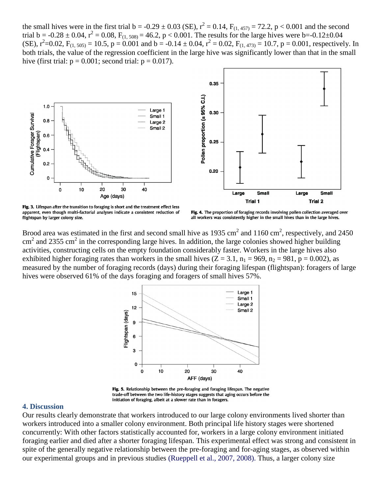the small hives were in the first trial  $b = -0.29 \pm 0.03$  (SE),  $r^2 = 0.14$ ,  $F_{(1,457)} = 72.2$ ,  $p < 0.001$  and the second trial  $b = -0.28 \pm 0.04$ ,  $r^2 = 0.08$ ,  $F_{(1, 508)} = 46.2$ ,  $p < 0.001$ . The results for the large hives were  $b = -0.12 \pm 0.04$ (SE),  $r^2$ =0.02, F<sub>(1, 505)</sub> = 10.5, p = 0.001 and b = -0.14 ± 0.04,  $r^2$  = 0.02, F<sub>(1, 473)</sub> = 10.7, p = 0.001, respectively. In both trials, the value of the regression coefficient in the large hive was significantly lower than that in the small hive (first trial:  $p = 0.001$ ; second trial:  $p = 0.017$ ).



Fig. 3. Lifespan after the transition to foraging is short and the treatment effect less apparent, even though multi-factorial analyses indicate a consistent reduction of flightspan by larger colony size.

Fig. 4. The proportion of foraging records involving pollen collection averaged over all workers was consistently higher in the small hives than in the large hives.

Brood area was estimated in the first and second small hive as 1935 cm<sup>2</sup> and 1160 cm<sup>2</sup>, respectively, and 2450  $\text{cm}^2$  and 2355 cm<sup>2</sup> in the corresponding large hives. In addition, the large colonies showed higher building activities, constructing cells on the empty foundation considerably faster. Workers in the large hives also exhibited higher foraging rates than workers in the small hives  $(Z = 3.1, n_1 = 969, n_2 = 981, p = 0.002)$ , as measured by the number of foraging records (days) during their foraging lifespan (flightspan): foragers of large hives were observed 61% of the days foraging and foragers of small hives 57%.



Fig. 5. Relationship between the pre-foraging and foraging lifespan. The negative trade-off between the two life-history stages suggests that aging occurs before the initiation of foraging, albeit at a slower rate than in foragers.

#### **4. Discussion**

Our results clearly demonstrate that workers introduced to our large colony environments lived shorter than workers introduced into a smaller colony environment. Both principal life history stages were shortened concurrently: With other factors statistically accounted for, workers in a large colony environment initiated foraging earlier and died after a shorter foraging lifespan. This experimental effect was strong and consistent in spite of the generally negative relationship between the pre-foraging and for-aging stages, as observed within our experimental groups and in previous studies (Rueppell et al., 2007, 2008). Thus, a larger colony size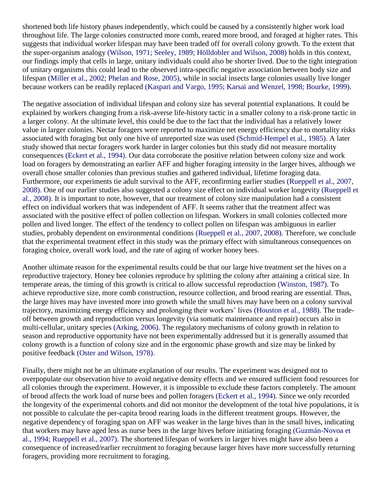shortened both life history phases independently, which could be caused by a consistently higher work load throughout life. The large colonies constructed more comb, reared more brood, and foraged at higher rates. This suggests that individual worker lifespan may have been traded off for overall colony growth. To the extent that the super-organism analogy (Wilson, 1971; Seeley, 1989; Hölldobler and Wilson, 2008) holds in this context, our findings imply that cells in large, unitary individuals could also be shorter lived. Due to the tight integration of unitary organisms this could lead to the observed intra-specific negative association between body size and lifespan (Miller et al., 2002; Phelan and Rose, 2005), while in social insects large colonies usually live longer because workers can be readily replaced (Kaspari and Vargo, 1995; Karsai and Wenzel, 1998; Bourke, 1999).

The negative association of individual lifespan and colony size has several potential explanations. It could be explained by workers changing from a risk-averse life-history tactic in a smaller colony to a risk-prone tactic in a larger colony. At the ultimate level, this could be due to the fact that the individual has a relatively lower value in larger colonies. Nectar foragers were reported to maximize net energy efficiency due to mortality risks associated with foraging but only one hive of unreported size was used (Schmid-Hempel et al., 1985). A later study showed that nectar foragers work harder in larger colonies but this study did not measure mortality consequences (Eckert et al., 1994). Our data corroborate the positive relation between colony size and work load on foragers by demonstrating an earlier AFF and higher foraging intensity in the larger hives, although we overall chose smaller colonies than previous studies and gathered individual, lifetime foraging data. Furthermore, our experiments tie adult survival to the AFF, reconfirming earlier studies (Rueppell et al., 2007, 2008). One of our earlier studies also suggested a colony size effect on individual worker longevity (Rueppell et al., 2008). It is important to note, however, that our treatment of colony size manipulation had a consistent effect on individual workers that was independent of AFF. It seems rather that the treatment affect was associated with the positive effect of pollen collection on lifespan. Workers in small colonies collected more pollen and lived longer. The effect of the tendency to collect pollen on lifespan was ambiguous in earlier studies, probably dependent on environmental conditions (Rueppell et al., 2007, 2008). Therefore, we conclude that the experimental treatment effect in this study was the primary effect with simultaneous consequences on foraging choice, overall work load, and the rate of aging of worker honey bees.

Another ultimate reason for the experimental results could be that our large hive treatment set the hives on a reproductive trajectory. Honey bee colonies reproduce by splitting the colony after attaining a critical size. In temperate areas, the timing of this growth is critical to allow successful reproduction (Winston, 1987). To achieve reproductive size, more comb construction, resource collection, and brood rearing are essential. Thus, the large hives may have invested more into growth while the small hives may have been on a colony survival trajectory, maximizing energy efficiency and prolonging their workers' lives (Houston et al., 1988). The tradeoff between growth and reproduction versus longevity (via somatic maintenance and repair) occurs also in multi-cellular, unitary species (Arking, 2006). The regulatory mechanisms of colony growth in relation to season and reproductive opportunity have not been experimentally addressed but it is generally assumed that colony growth is a function of colony size and in the ergonomic phase growth and size may be linked by positive feedback (Oster and Wilson, 1978).

Finally, there might not be an ultimate explanation of our results. The experiment was designed not to overpopulate our observation hive to avoid negative density effects and we ensured sufficient food resources for all colonies through the experiment. However, it is impossible to exclude these factors completely. The amount of brood affects the work load of nurse bees and pollen foragers (Eckert et al., 1994). Since we only recorded the longevity of the experimental cohorts and did not monitor the development of the total hive populations, it is not possible to calculate the per-capita brood rearing loads in the different treatment groups. However, the negative dependency of foraging span on AFF was weaker in the large hives than in the small hives, indicating that workers may have aged less as nurse bees in the large hives before initiating foraging (Guzmán-Novoa et al., 1994; Rueppell et al., 2007). The shortened lifespan of workers in larger hives might have also been a consequence of increased/earlier recruitment to foraging because larger hives have more successfully returning foragers, providing more recruitment to foraging.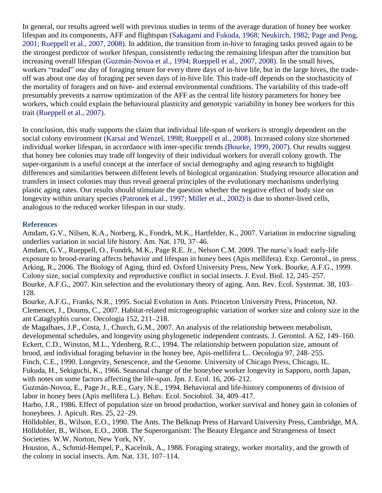In general, our results agreed well with previous studies in terms of the average duration of honey bee worker lifespan and its components, AFF and flightspan (Sakagami and Fukuda, 1968; Neukirch, 1982; Page and Peng, 2001; Rueppell et al., 2007, 2008). In addition, the transition from in-hive to foraging tasks proved again to be the strongest predictor of worker lifespan, consistently reducing the remaining lifespan after the transition but increasing overall lifespan (Guzmán-Novoa et al., 1994; Rueppell et al., 2007, 2008). In the small hives, workers "traded" one day of foraging tenure for every three days of in-hive life, but in the large hives, the tradeoff was about one day of foraging per seven days of in-hive life. This trade-off depends on the stochasticity of the mortality of foragers and on hive- and external environmental conditions. The variability of this trade-off presumably prevents a narrow optimization of the AFF as the central life history parameters for honey bee workers, which could explain the behavioural plasticity and genotypic variability in honey bee workers for this trait (Rueppell et al., 2007).

In conclusion, this study supports the claim that individual life-span of workers is strongly dependent on the social colony environment (Karsai and Wenzel, 1998; Rueppell et al., 2008). Increased colony size shortened individual worker lifespan, in accordance with inter-specific trends (Bourke, 1999, 2007). Our results suggest that honey bee colonies may trade off longevity of their individual workers for overall colony growth. The super-organism is a useful concept at the interface of social demography and aging research to highlight differences and similarities between different levels of biological organization. Studying resource allocation and transfers in insect colonies may thus reveal general principles of the evolutionary mechanisms underlying plastic aging rates. Our results should stimulate the question whether the negative effect of body size on longevity within unitary species (Patronek et al., 1997; Miller et al., 2002) is due to shorter-lived cells, analogous to the reduced worker lifespan in our study.

## **References**

Amdam, G.V., Nilsen, K.A., Norberg, K., Fondrk, M.K., Hartfelder, K., 2007. Variation in endocrine signaling underlies variation in social life history. Am. Nat. 170, 37–46.

Amdam, G.V., Rueppell, O., Fondrk, M.K., Page R.E. Jr., Nelson C.M. 2009. The nurse's load: early-life exposure to brood-rearing affects behavior and lifespan in honey bees (Apis mellifera). Exp. Gerontol., in press. Arking, R., 2006. The Biology of Aging, third ed. Oxford University Press, New York. Bourke, A.F.G., 1999. Colony size, social complexity and reproductive conflict in social insects. J. Evol. Biol. 12, 245–257. Bourke, A.F.G., 2007. Kin selection and the evolutionary theory of aging. Ann. Rev. Ecol. Systemat. 38, 103– 128.

Bourke, A.F.G., Franks, N.R., 1995. Social Evolution in Ants. Princeton University Press, Princeton, NJ. Clemencet, J., Doums, C., 2007. Habitat-related microgeographic variation of worker size and colony size in the ant Cataglyphis cursor. Oecologia 152, 211–218.

de Magalhaes, J.P., Costa, J., Church, G.M., 2007. An analysis of the relationship between metabolism, developmental schedules, and longevity using phylogenetic independent contrasts. J. Gerontol. A 62, 149–160. Eckert, C.D., Winston, M.L., Ydenberg, R.C., 1994. The relationship between population size, amount of brood, and individual foraging behavior in the honey bee, Apis-mellifera L.. Oecologia 97, 248–255. Finch, C.E., 1990. Longevity, Senescence, and the Genome. University of Chicago Press, Chicago, IL. Fukuda, H., Sekiguchi, K., 1966. Seasonal change of the honeybee worker longevity in Sapporo, north Japan, with notes on some factors affecting the life-span. Jpn. J. Ecol. 16, 206–212.

Guzmán-Novoa, E., Page Jr., R.E., Gary, N.E., 1994. Behavioral and life-history components of division of labor in honey bees (Apis mellifera L.). Behav. Ecol. Sociobiol. 34, 409–417.

Harbo, J.R., 1986. Effect of population size on brood production, worker survival and honey gain in colonies of honeybees. J. Apicult. Res. 25, 22–29.

Hölldobler, B., Wilson, E.O., 1990. The Ants. The Belknap Press of Harvard University Press, Cambridge, MA. Hölldobler, B., Wilson, E.O., 2008. The Superorganism: The Beauty Elegance and Strangeness of Insect Societies. W.W. Norton, New York, NY.

Houston, A., Schmid-Hempel, P., Kacelnik, A., 1988. Foraging strategy, worker mortality, and the growth of the colony in social insects. Am. Nat. 131, 107–114.